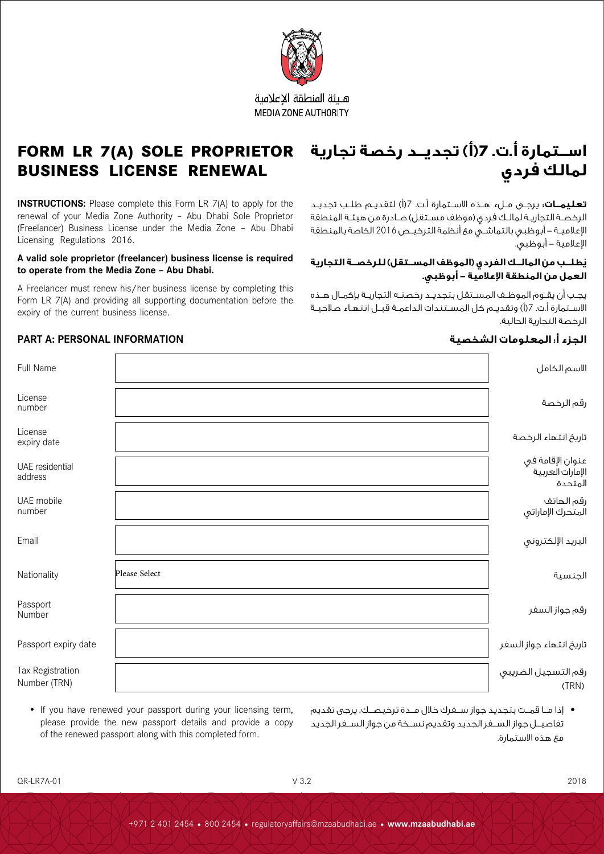

# **FORM LR 7(A) SOLE PROPRIETOR BUSINESS LICENSE RENEWAL**

**INSTRUCTIONS:** Please complete this Form LR 7(A) to apply for the renewal of your Media Zone Authority – Abu Dhabi Sole Proprietor (Freelancer) Business License under the Media Zone – Abu Dhabi Licensing Regulations 2016.

#### **A valid sole proprietor (freelancer) business license is required to operate from the Media Zone – Abu Dhabi.**

A Freelancer must renew his/her business license by completing this Form LR 7(A) and providing all supporting documentation before the expiry of the current business license.

• If you have renewed your passport during your licensing term, please provide the new passport details and provide a copy

of the renewed passport along with this completed form.

# **اســتمارة أ.ت. 7)أ( تجديــد رخصة تجارية لمالك فردي**

**تعليمــات:** يرجــى مــلء هــذه االســتمارة أ.ت. 7)أ( لتقديــم طلــب تجديــد الرخصـة التجاريـة لمالـك فردي (موظف مسـتقل) صـادرة من هيئـة المنطقة اإلعالميــة - أبوظبي بالتماشــي مع أنظمة الترخيــص 2016 الخاصة بالمنطقة اإلعالمية - أبوظبي.

# **ُيطلــب من المالــك الفردي )الموظف المســتقل( للرخصــة التجارية العمل من المنطقة اإلعالمية - أبوظبي.**

يجــب أن يقــوم الموظــف المســتقل بتجديــد رخصتــه التجاريــة بإكمــال هــذه الاسـتمارة أ.ت. 7(أ) وتقديـم كل المسـتندات الداعمـة قبــل انتهـاء صلاحيـة الرخصة التجارية الحالية.

# **الجزء أ: المعلومات الشخصية INFORMATION PERSONAL :A PART**

| Full Name                        |               | الاسم الكامل                                    |
|----------------------------------|---------------|-------------------------------------------------|
| License<br>number                |               | رقم الرخصة                                      |
| License<br>expiry date           |               | تاريخ انتهاء الرخصة                             |
| UAE residential<br>address       |               | عنوان الإقامة في<br>الإمارات العربية<br>المتحدة |
| UAE mobile<br>number             |               | رقم الهاتف<br>المتحرك الإماراتي                 |
| Email                            |               | البريد الإلكتروني                               |
| Nationality                      | Please Select | الجنسية                                         |
| Passport<br>Number               |               | رقم جواز السفر                                  |
| Passport expiry date             |               | تاريخ انتهاء جواز السفر                         |
| Tax Registration<br>Number (TRN) |               | رقم التسجيل الضريبي<br>(TRN)                    |

- إذا مـــا قمـــت بتجديد جواز ســـفرك خالل مـــدة ترخيصـــك، يرجى تقديم تفاصيـــل جواز الســـفر الجديد وتقديم نســـخة من جواز الســـفر الجديد مع هذه االستمارة.
- QR-LR7A-01 V 3.2 2018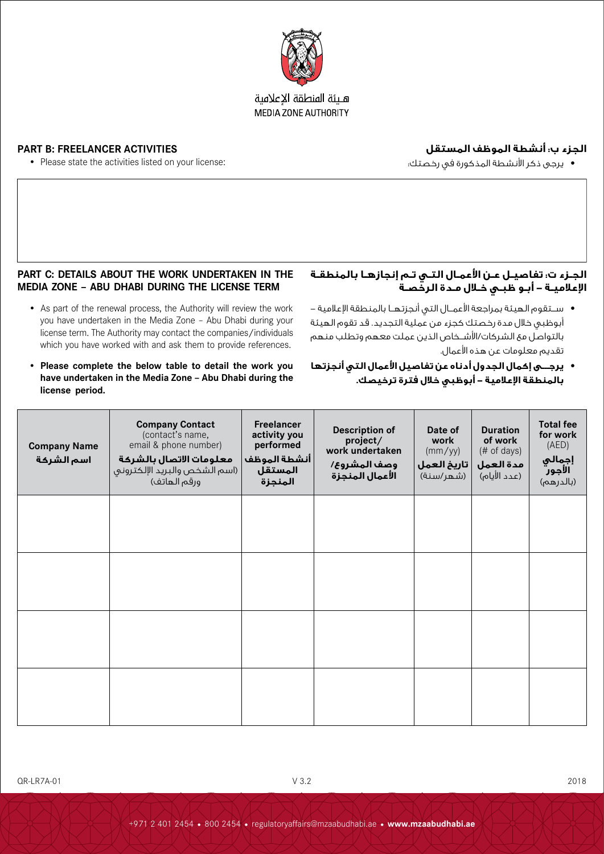

# **الجزء ب: أنشطة الموظف المستقل**

**PART B: FREELANCER ACTIVITIES** • Please state the activities listed on your license:

 يرجى ذكر األنشطة المذكورة في رخصتك:

**اإلعالميـة - أبـو ظبـي خـال مـدة الرخصـة**

تقديم معلومات عن هذه األعمال.

**الجـزء ت: تفاصيـل عـن األعمـال التـي تـم إنجازهـا بالمنطقـة** 

● ســتقوم الهيئة بمراجعة الأعمــال التى أنجزتهــا بالمنطقة الإعلامية – أبوظبي خالل مدة رخصتك كجزء من عملية التجديد. قد تقوم الهيئة بالتواصل مع الشركات/األشـــخاص الذين عملت معهم وتطلب منهم

 **يرجـــى إكمال الجدول أدناه عن تفاصيل األعمال التي أنجزتها** 

**بالمنطقة اإلعالمية - أبوظبي خالل فترة ترخيصك.**

# **PART C: DETAILS ABOUT THE WORK UNDERTAKEN IN THE MEDIA ZONE – ABU DHABI DURING THE LICENSE TERM**

- As part of the renewal process, the Authority will review the work you have undertaken in the Media Zone – Abu Dhabi during your license term. The Authority may contact the companies/individuals which you have worked with and ask them to provide references.
- **• Please complete the below table to detail the work you have undertaken in the Media Zone – Abu Dhabi during the license period.**

| <b>Company Name</b><br>اسم الشركة | <b>Company Contact</b><br>(contact's name,<br>email & phone number)<br>معلومات الاتصال بالشركة<br>(اسم الشخص والبريد الإلكتروني<br>ورقم الهاتف) | <b>Freelancer</b><br>activity you<br>performed<br> أنشطة الموظف<br>المستقل<br>المنجزة | <b>Description of</b><br>project/<br>work undertaken<br>وصف المشروع/<br>الأعمال المنجزة | Date of<br>work<br>(mm/yy)<br>  تاريخ العمل<br>(شهر/سنة) | <b>Duration</b><br>of work<br>$#$ of days)<br>مدة العمل<br>(عدد الأيام) | <b>Total fee</b><br>for work<br>(AED)<br><b>إجمالي</b><br><b>الأجور</b><br>(بالدرهم) |
|-----------------------------------|-------------------------------------------------------------------------------------------------------------------------------------------------|---------------------------------------------------------------------------------------|-----------------------------------------------------------------------------------------|----------------------------------------------------------|-------------------------------------------------------------------------|--------------------------------------------------------------------------------------|
|                                   |                                                                                                                                                 |                                                                                       |                                                                                         |                                                          |                                                                         |                                                                                      |
|                                   |                                                                                                                                                 |                                                                                       |                                                                                         |                                                          |                                                                         |                                                                                      |
|                                   |                                                                                                                                                 |                                                                                       |                                                                                         |                                                          |                                                                         |                                                                                      |
|                                   |                                                                                                                                                 |                                                                                       |                                                                                         |                                                          |                                                                         |                                                                                      |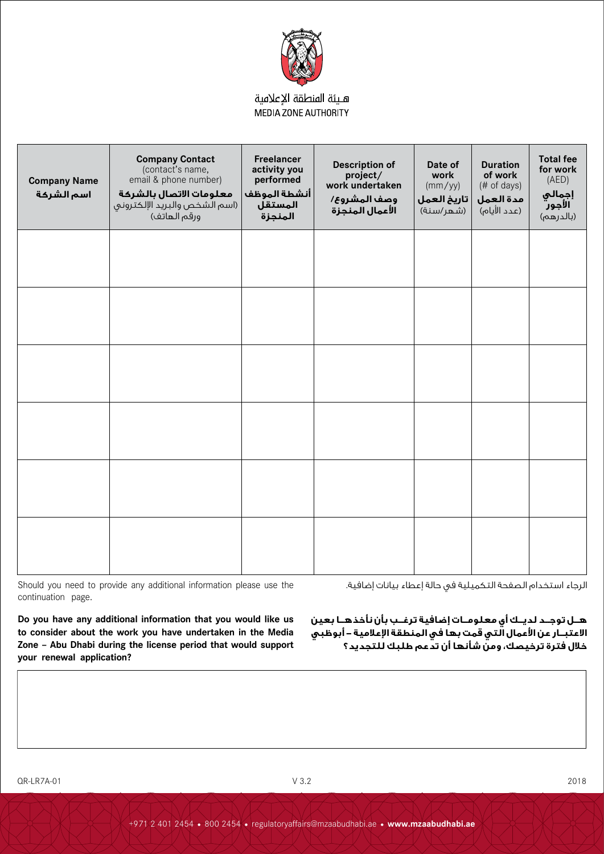

| <b>Company Name</b><br>اسم الشركة | <b>Company Contact</b><br>(contact's name,<br>email & phone number)<br>معلومات الاتصال بالشركة<br>(اسم الشخص والبريد الإلكتروني<br>ورقم الهاتف) | Freelancer<br>activity you<br>performed<br>أنشطة الموظف<br>المستقل<br>المنجزة | <b>Description of</b><br>project/<br>work undertaken<br>وصف المشروع/<br>الأعمال المنجزة | Date of<br>work<br>(mm/yy)<br>تاريخ العمل<br>(شهر/سنة) | <b>Duration</b><br>of work<br>(# of days)<br>مدة العمل<br>(عدد الأيام) | <b>Total fee</b><br>for work<br>(AED)<br>إجمالي<br>الأجور<br>(بالدرهم) |
|-----------------------------------|-------------------------------------------------------------------------------------------------------------------------------------------------|-------------------------------------------------------------------------------|-----------------------------------------------------------------------------------------|--------------------------------------------------------|------------------------------------------------------------------------|------------------------------------------------------------------------|
|                                   |                                                                                                                                                 |                                                                               |                                                                                         |                                                        |                                                                        |                                                                        |
|                                   |                                                                                                                                                 |                                                                               |                                                                                         |                                                        |                                                                        |                                                                        |
|                                   |                                                                                                                                                 |                                                                               |                                                                                         |                                                        |                                                                        |                                                                        |
|                                   |                                                                                                                                                 |                                                                               |                                                                                         |                                                        |                                                                        |                                                                        |
|                                   |                                                                                                                                                 |                                                                               |                                                                                         |                                                        |                                                                        |                                                                        |
|                                   |                                                                                                                                                 |                                                                               |                                                                                         |                                                        |                                                                        |                                                                        |

Should you need to provide any additional information please use the continuation page.

> **هــل توجــد لديــك أي معلومــات إضافية ترغــب بأن نأخذهــا بعين االعتبــار عن األعمال التي قمت بها في المنطقة اإلعالمية - أبوظبي خالل فترة ترخيصك، ومن شأنها أن تدعم طلبك للتجديد؟**

الرجاء استخدام الصفحة التكميلية في حالة إعطاء بيانات إضافية.

**Do you have any additional information that you would like us to consider about the work you have undertaken in the Media Zone – Abu Dhabi during the license period that would support your renewal application?**

QR-LR7A-01 V 3.2 2018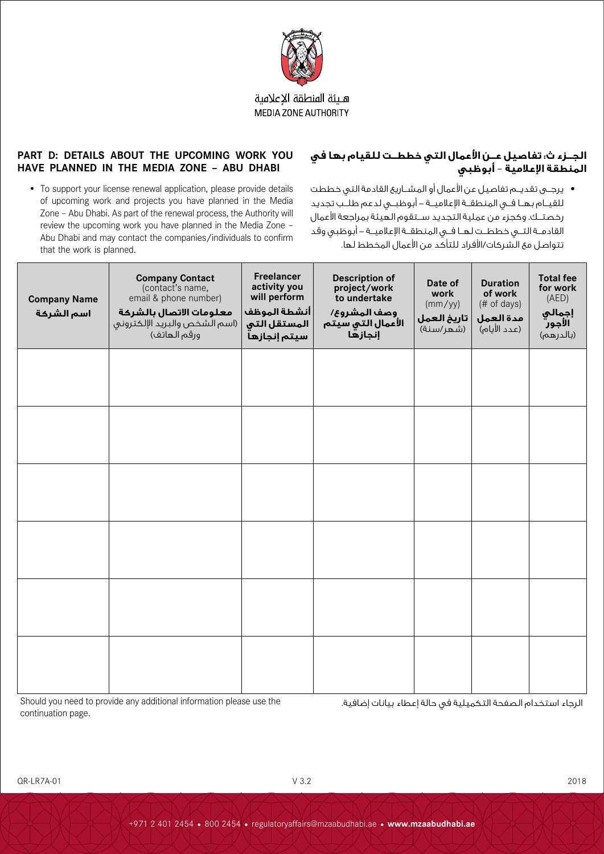

#### **PART D: DETAILS ABOUT THE UPCOMING WORK YOU HAVE PLANNED IN THE MEDIA ZONE – ABU DHABI**

- **الجــزء ث: تفاصيل عــن األعمال التي خططــت للقيام بها في المنطقة اإلعالمية** – **أبوظبي**
- To support your license renewal application, please provide details of upcoming work and projects you have planned in the Media Zone – Abu Dhabi. As part of the renewal process, the Authority will review the upcoming work you have planned in the Media Zone – Abu Dhabi and may contact the companies/individuals to confirm that the work is planned.
- يرجـــى تقديـــم تفاصيل عن األعمال أو المشـــاريع القادمة التي خططت للقيـــام بهـــا فـــي المنطقـــة اإلعالميـــة - أبوظبـــي لدعم طلـــب تجديد رخصتـــك. وكجزء من عملية التجديد ســـتقوم الهيئة بمراجعة األعمال القادمـــة التـــي خططـــت لهـــا فـــي المنطقـــة اإلعالميـــة - أبوظبي وقد تتواصل مع الشركات/األفراد للتأكد من األعمال المخطط لها.

| <b>Company Name</b><br>اسم الشركة | <b>Company Contact</b><br>(contact's name,<br>email & phone number)<br>معلومات الاتصال بالشركة<br>(اسم الشخص والبريد الإلكتروني<br>ورقم الهاتف) | Freelancer<br>activity you<br>will perform<br> أنشطة الموظف<br>المستقل التي<br>سيتم إنجازها | <b>Description of</b><br>project/work<br>to undertake<br>وصف المشروع/<br>الأعمال التي سيتم<br>إنجازها | Date of<br>work<br>(mm/yy)<br>  تاريخ العمل<br>(شهر/سنة) | <b>Duration</b><br>of work<br>(# of days)<br>مدة العمل<br>(عدد الأيام) | <b>Total fee</b><br>for work<br>(AED)<br>إجمالي<br>الأجور<br>(بالدرهم) |
|-----------------------------------|-------------------------------------------------------------------------------------------------------------------------------------------------|---------------------------------------------------------------------------------------------|-------------------------------------------------------------------------------------------------------|----------------------------------------------------------|------------------------------------------------------------------------|------------------------------------------------------------------------|
|                                   |                                                                                                                                                 |                                                                                             |                                                                                                       |                                                          |                                                                        |                                                                        |
|                                   |                                                                                                                                                 |                                                                                             |                                                                                                       |                                                          |                                                                        |                                                                        |
|                                   |                                                                                                                                                 |                                                                                             |                                                                                                       |                                                          |                                                                        |                                                                        |
|                                   |                                                                                                                                                 |                                                                                             |                                                                                                       |                                                          |                                                                        |                                                                        |
|                                   |                                                                                                                                                 |                                                                                             |                                                                                                       |                                                          |                                                                        |                                                                        |
|                                   |                                                                                                                                                 |                                                                                             |                                                                                                       |                                                          |                                                                        |                                                                        |

Should you need to provide any additional information please use the continuation page.

الرجاء استخدام الصفحة التكميلية في حالة إعطاء بيانات إضافية.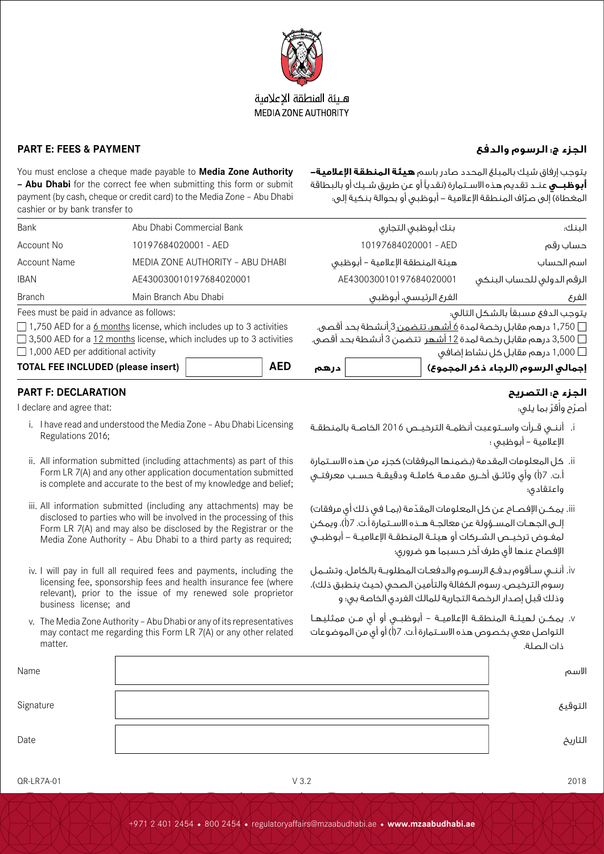

# **الجزء ج: الرسوم والدفع PAYMENT & FEES :E PART**

ِ<br>ا اصرّح واقرّ بما يلي:

اإلعالمية – أبوظبي ؛

واعتقادي؛

ذات الصلة.

i. أننــي قــرأت واســتوعبت أنظمــة الترخيــص 2016 الخاصــة بالمنطقــة

يتوجب إرفاق شيك بالمبلغ المحدد صادر باسم **هيئة المنطقة اإلعالمية- أبوظبــي** عنــد تقديم هذه االســتمارة )نقديًا أو عن طريق شــيك أو بالبطاقة .<br>المغطاة) إلى صرّاف المنطقة الإعلامية – أبوظبي أو بحوالة بنكية إلى:

ii. كل المعلومات المقدمة (بضمنها المرفقات) كجزء من هذه الاسـتمارة أ.ت. 7(أ) وأي وثائــق أخــرى مقدمــة كاملــة ودقيقــة حســب معرفتــي

.<br>iii. يمكــن الإفصــاح عـن كل المعلومات المقدّمة (بمـا في ذلك أي مرفقات) إلــى الجهـات المســؤولة عن معالجــة هــذه الاســتمارة أ.ت. 7(أ)، ويمكن لمفــوض ترخيــص الشــركات أو هيئــة المنطقــة اإلعالميــة - أبوظبــي

iv. أننــي ســأقوم بدفــع الرســوم والدفعــات المطلوبــة بالكامل، وتشــمل رسوم الترخيص، رسوم الكفالة والتأمين الصحى (حيث ينطبق ذلك)، وذلك قبل إصدار الرخصة التجارية للمالك الفردي الخاصة بي؛ و

v. يمكــن لهيئــة المنطقــة اإلعالميــة – أبوظبــي أو أي مــن ممثليهــا التواصل معي بخصوص هذه االســتمارة أ.ت. 7)أ( أو أي من الموضوعات

الإفصاح عنها لأي طرف آخر حسبما هو ضروري؛

You must enclose a cheque made payable to **Media Zone Authority – Abu Dhabi** for the correct fee when submitting this form or submit payment (by cash, cheque or credit card) to the Media Zone – Abu Dhabi cashier or by bank transfer to

| <b>TOTAL FEE INCLUDED (please insert)</b> |                                                                                   | <b>AED</b> | درهم                                                                 | إجمالى الرسوم (الرجاء ذكر المجموع)      |
|-------------------------------------------|-----------------------------------------------------------------------------------|------------|----------------------------------------------------------------------|-----------------------------------------|
| $\Box$ 1,000 AED per additional activity  |                                                                                   |            |                                                                      | ر 1,000 درهم مقابل کل نشاط إضافی $\Box$ |
|                                           | $\Box$ 3,500 AED for a 12 months license, which includes up to 3 activities       |            | □ 3,500 درهم مقابل رخصة لمدة <u>12 أشهر</u> تتضمن 3 أنشطة بحد أقصى.  |                                         |
|                                           | $\Box$ 1,750 AED for a <u>6 months</u> license, which includes up to 3 activities |            | □ 1,750 درهم مقابل رخصة لمدة <u>6 أشهر، تتضمن 3 أ</u> نشطة بحد أقصى. |                                         |
| Fees must be paid in advance as follows:  |                                                                                   |            |                                                                      | يتوجب الدفع مسبقاً بالشكل التالى:       |
| <b>Branch</b>                             | Main Branch Abu Dhabi                                                             |            | الفرع الرئيسي، أبوظبي                                                | الغرع                                   |
| <b>IBAN</b>                               | AE430030010197684020001                                                           |            | AE430030010197684020001                                              | الرقم الدولى للحساب البنكى              |
| Account Name                              | MEDIA ZONE AUTHORITY - ABU DHABI                                                  |            | هيئة المنطقة الإعلامية – أبوظبى                                      | اسم الحساب                              |
| Account No                                | 10197684020001 - AED                                                              |            | 10197684020001 - AED                                                 | حساب رقم                                |
| Bank                                      | Abu Dhabi Commercial Bank                                                         |            | بنك أبوظبى التجارى                                                   | البنك:                                  |

# **الجزء ح: التصريح DECLARATION :F PART**

I declare and agree that:

- i. I have read and understood the Media Zone Abu Dhabi Licensing Regulations 2016;
- ii. All information submitted (including attachments) as part of this Form LR 7(A) and any other application documentation submitted is complete and accurate to the best of my knowledge and belief;
- iii. All information submitted (including any attachments) may be disclosed to parties who will be involved in the processing of this Form LR 7(A) and may also be disclosed by the Registrar or the Media Zone Authority – Abu Dhabi to a third party as required;
- iv. I will pay in full all required fees and payments, including the licensing fee, sponsorship fees and health insurance fee (where relevant), prior to the issue of my renewed sole proprietor business license; and
- v. The Media Zone Authority Abu Dhabi or any of its representatives may contact me regarding this Form LR 7(A) or any other related matter.

| Name      | الاسم   |
|-----------|---------|
| Signature | التوقيع |
| Date      | التاريخ |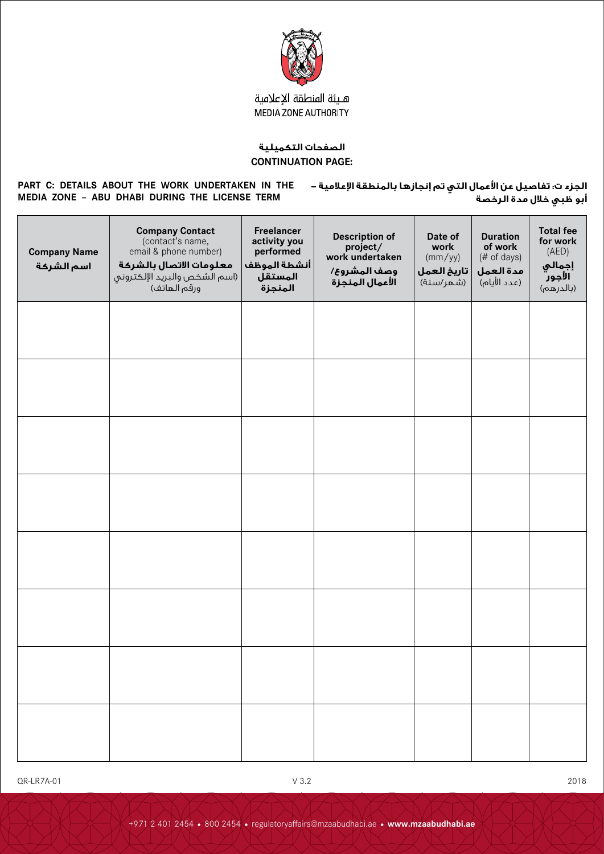

#### **الصفحات التكميلية CONTINUATION PAGE:**

#### **PART C: DETAILS ABOUT THE WORK UNDERTAKEN IN THE MEDIA ZONE – ABU DHABI DURING THE LICENSE TERM**

**الجزء ت: تفاصيل عن األعمال التي تم إنجازها بالمنطقة اإلعالمية - أبو ظبي خالل مدة الرخصة**

| <b>Company Name</b><br>اسم الشركة | <b>Company Contact</b><br>(contact's name,<br>email & phone number)<br>معلومات الاتصال بالشركة<br>(اسم الشخص والبريد الإلكتروني<br>ورقم الهاتف) | Freelancer<br>activity you<br>performed<br> أنشطة الموظف<br>المستقل<br>المنجزة | <b>Description of</b><br>project/<br>work undertaken<br>وصف المشروع/<br>الأعمال المنجزة | Date of<br>work<br>(mm/yy)<br>  تاريخ العمل<br>(شهر/سنة) | <b>Duration</b><br>of work<br>(# of days)<br>مدة العمل<br>(عدد الأيام) | <b>Total fee</b><br>for work<br>(AED)<br>إجمالي<br>الأجور<br>(بالدرهم) |
|-----------------------------------|-------------------------------------------------------------------------------------------------------------------------------------------------|--------------------------------------------------------------------------------|-----------------------------------------------------------------------------------------|----------------------------------------------------------|------------------------------------------------------------------------|------------------------------------------------------------------------|
|                                   |                                                                                                                                                 |                                                                                |                                                                                         |                                                          |                                                                        |                                                                        |
|                                   |                                                                                                                                                 |                                                                                |                                                                                         |                                                          |                                                                        |                                                                        |
|                                   |                                                                                                                                                 |                                                                                |                                                                                         |                                                          |                                                                        |                                                                        |
|                                   |                                                                                                                                                 |                                                                                |                                                                                         |                                                          |                                                                        |                                                                        |
|                                   |                                                                                                                                                 |                                                                                |                                                                                         |                                                          |                                                                        |                                                                        |
|                                   |                                                                                                                                                 |                                                                                |                                                                                         |                                                          |                                                                        |                                                                        |
|                                   |                                                                                                                                                 |                                                                                |                                                                                         |                                                          |                                                                        |                                                                        |
|                                   |                                                                                                                                                 |                                                                                |                                                                                         |                                                          |                                                                        |                                                                        |

QR-LR7A-01 V 3.2 2018